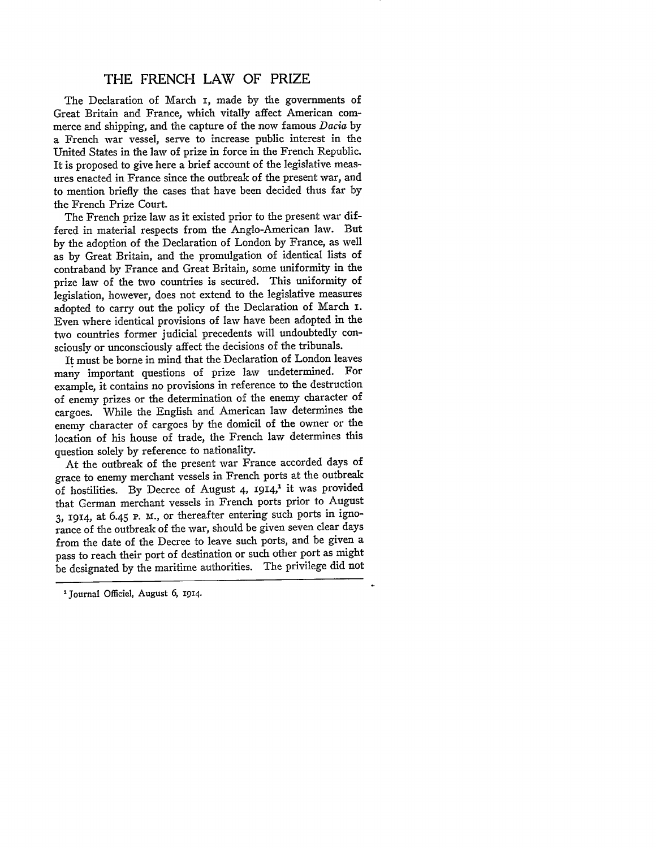## **THE FRENCH LAW OF PRIZE**

The Declaration of March i, made **by** the governments of Great Britain and France, which vitally affect American commerce and shipping, and the capture of the now famous Dacia **by** a French war vessel, serve to increase public interest in the United States in the law of prize in force in the French Republic. It is proposed to give here a brief account of the legislative measures enacted in France since the outbreak of the present war, and to mention briefly the cases that have been decided thus far **by** the French Prize Court.

The French prize law as it existed prior to the present war differed in material respects from the Anglo-American law. But by the adoption of the Declaration of London by France, as well as by Great Britain, and the promulgation of identical lists of contraband by France and Great Britain, some uniformity in the prize law of the two countries is secured. This uniformity of legislation, however, does not extend to the legislative measures adopted to carry out the policy of the Declaration of March i. Even where identical provisions of law have been adopted in the two countries former judicial precedents will undoubtedly consciously or unconsciously affect the decisions of the tribunals.

It must be borne in mind that the Declaration of London leaves many important questions of prize law undetermined. For example, it contains no provisions in reference to the destruction of enemy prizes or the determination of the enemy character of cargoes. While the English and American law determines the enemy character of cargoes by the domicil of the owner or the location of his house of trade, the French law determines this question solely by reference to nationality.

At the outbreak of the present war France accorded days of grace to enemy merchant vessels in French ports at the outbreak of hostilities. By Decree of August 4, **i9i4,1** it was provided that German merchant vessels in French ports prior to August 3, 1914, at 6.45 P. M., or thereafter entering such ports in ignorance of the outbreak of the war, should be given seven clear days from the date of the Decree to leave such ports, and be given a pass to reach their port of destination or such other port as might be designated by the maritime authorities. The privilege did not

<sup>1</sup>Journal Officiel, August 6, **1914.**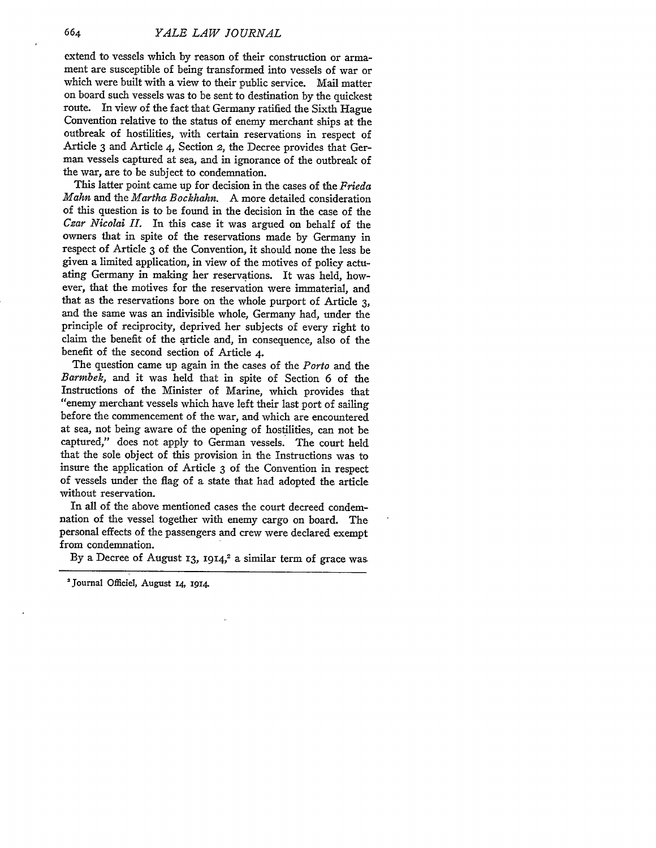extend to vessels which by reason of their construction or armament are susceptible of being transformed into vessels of war or which were built with a view to their public service. Mail matter on board such vessels was to be sent to destination by the quickest route. In view of the fact that Germany ratified the Sixth Hague Convention relative to the status of enemy merchant ships at the outbreak of hostilities, with certain reservations in respect of Article 3 and Article 4, Section 2, the Decree provides that German vessels captured at sea, and in ignorance of the outbreak of the war, are to be subject to condemnation.

This latter point came up for decision in the cases of the *Frieda Mahn* and the *Martha Bockhahn.* A more detailed consideration of this question is to be found in the decision in the case of the *Czar Nicolai II.* In this case it was argued on behalf of the owners that in spite of the reservations made by Germany in respect of Article 3 of the Convention, it should none the less be given a limited application, in view of the motives of policy actuating Germany in making her reservations. It was held, however, that the motives for the reservation were immaterial, and that as the reservations bore on the whole purport of Article 3, and the same was an indivisible whole, Germany had, under the principle of reciprocity, deprived her subjects of every right to claim the benefit of the article and, in consequence, also of the benefit of the second section of Article 4.

The question came up again in the cases of the *Porto* and the *Barmbek,* and it was held that in spite of Section 6 of the Instructions of the Minister of Marine, which provides that "enemy merchant vessels which have left their last port of sailing before the commencement of the war, and which are encountered at sea, not being aware of the opening of hostilities, can not be captured," does not apply to German vessels. The court held that the sole object of this provision in the Instructions was to insure the application of Article 3 of the Convention in respect of vessels under the flag of a state that had adopted the article without reservation.

In all of the above mentioned cases the court decreed condemnation of the vessel together with enemy cargo on board. The personal effects of the passengers and crew were declared exempt from condemnation.

By a Decree of August 13, 1914,<sup>2</sup> a similar term of grace was

'Journal Officiel, August x4, 1914.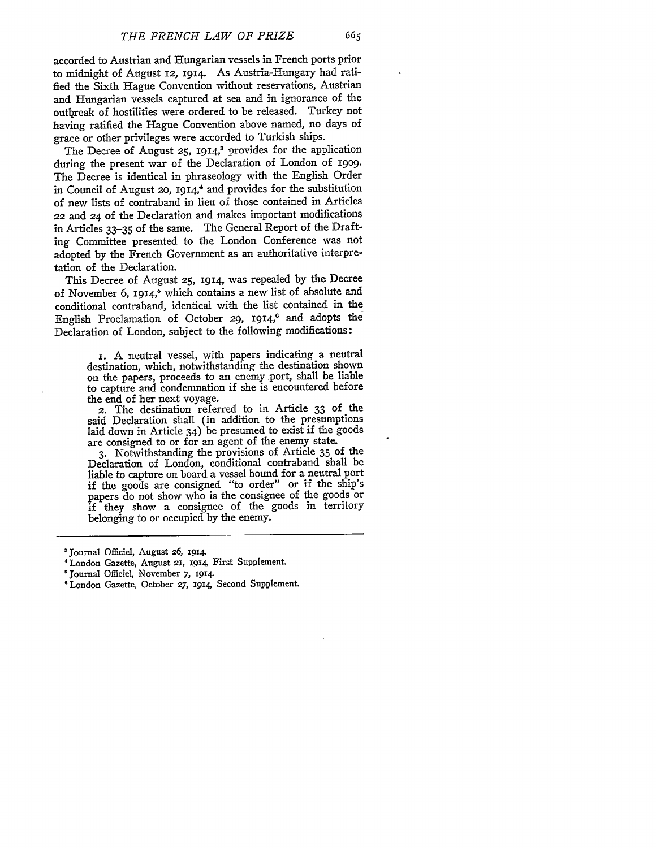accorded to Austrian and Hungarian vessels in French ports prior to midnight of August 12, **1914.** As Austria-Hungary had ratified the Sixth Hague Convention without reservations, Austrian and Hungarian vessels captured at sea and in ignorance of the outbreak of hostilities were ordered to be released. Turkey not having ratified the Hague Convention above named, no days of grace or other privileges were accorded to Turkish ships.

The Decree of August 25, 1914,<sup>3</sup> provides for the application during the present war of the Declaration of London of **19o9.** The Decree is identical in phraseology with the English Order in Council of August **20, 1914,'** and provides for the substitution of new lists of contraband in lieu of those contained in Articles 22 and 24 of the Declaration and makes important modifications in Articles 33-35 of the same. The General Report of the Drafting Committee presented to the London Conference was not adopted **by** the French Government as an authoritative interpretation of the Declaration.

This Decree of August **25, 1914,** was repealed **by** the Decree of November 6, **I914,<sup>5</sup>**which contains a new list of absolute and conditional contraband, identical with the list contained in the English Proclamation of October 29, **I914,6** and adopts the Declaration of London, subject to the following modifications:

> **i.** A neutral vessel, with papers indicating a neutral destination, which, notwithstanding the destination shown on the papers, proceeds to an enemy .port, shall be liable to capture and condemnation if she is encountered before the end of her next voyage.

> **2.** The destination referred to in Article 33 of the said Declaration shall (in addition to the presumptions laid down in Article 34) be presumed to exist if the goods are consigned to or for an agent of the enemy state.

> 3. Notwithstanding the provisions of Article 35 of the Declaration of London, conditional contraband shall be liable to capture on board a vessel bound for a neutral port if the goods are consigned "to order" or if the ship's papers do not show who is the consignee of the goods or if they show a consignee of the goods in territory belonging to or occupied by the enemy.

<sup>&#</sup>x27;Journal Officiel, August **26, 1914.**

<sup>&#</sup>x27;London Gazette, August 21, **1914,** First Supplement.

<sup>&#</sup>x27;Journal Officiel, November 7, 1914.

<sup>&</sup>quot;London Gazette, October **27,** 1914, Second Supplement.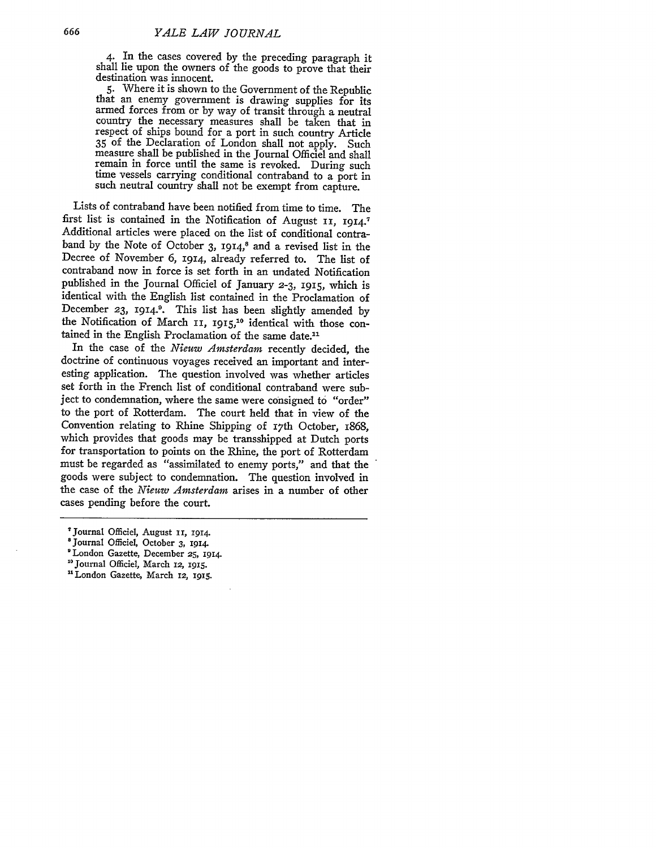**4.** In the cases covered by the preceding paragraph it shall lie upon the owners of the goods to prove that their destination was innocent.<br>5. Where it is shown to the Government of the Republic

that an enemy government is drawing supplies for its armed forces from or by way of transit through a neutral country the necessary measures shall be taken that in respect of ships bound for a port in such country Article 35 of the Declaration of London shall not apply. Such measure shall be published in the Journal Officiel and shall remain in force until the same is revoked. During such time vessels carrying conditional contraband to a port in such neutral country shall not be exempt from capture.

Lists of contraband have been notified from time to time. The first list is contained in the Notification of August **II, I914.7** Additional articles were placed on the list of conditional contraband by the Note of October 3, 1914,<sup>8</sup> and a revised list in the Decree of November 6, 1914, already referred to. The list of contraband now in force is set forth in an undated Notification published in the Journal Officiel of January **2-3,** 1915, which is identical with the English list contained in the Proclamation of December 23, 1914.<sup>9</sup>. This list has been slightly amended by the Notification of March II, 1915,<sup>10</sup> identical with those contained in the English Proclamation of the same date.<sup>11</sup>

In the case of the *Nieuw Amsterdam* recently decided, the doctrine of continuous voyages received an important and interesting application. The question involved was whether articles set forth in the French list of conditional contraband were subject to condemnation, where the same were consigned to "order" to the port of Rotterdam. The court held that in view of the Convention relating to Rhine Shipping of 17th October, 1868, which provides that goods may be transshipped at Dutch ports for transportation to points on the Rhine, the port of Rotterdam must be regarded as "assimilated to enemy ports," and that the goods were subject to condemnation. The question involved in the case of the *Nieuw Amsterdam* arises in a number of other cases pending before the court.

- 'London Gazette, December **25, 1914.** "Journal Oficiel, March 12, 1915.
- "London Gazette, March *12, xgi.*

<sup>&#</sup>x27;Journal Officiel, August *ii,* 1g4. 'Journal Officiel, October 3, **1914.**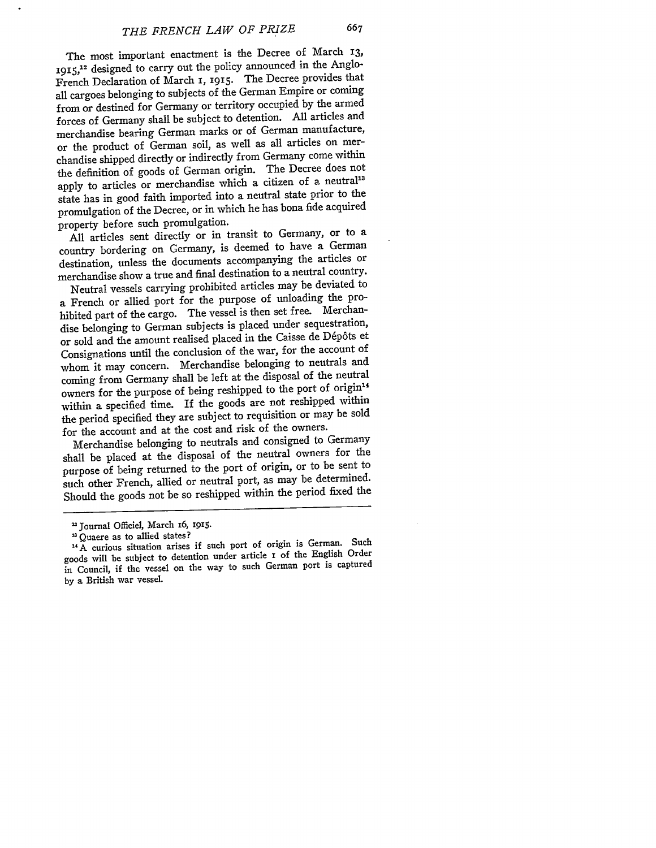The most important enactment is the Decree of March **13, 1915,12** designed to carry out the policy announced in the Anglo-French Declaration of March **I,** 1915. The Decree provides that all cargoes belonging to subjects of the German Empire or coming from or destined for Germany or territory occupied by the armed forces of Germany shall be subject to detention. All articles and merchandise bearing German marks or of German manufacture, or the product of German soil, as well as all articles on merchandise shipped directly or indirectly from Germany come within the definition of goods of German origin. The Decree does not apply to articles or merchandise which a citizen of a neutral<sup>13</sup> state has in good faith imported into a neutral state prior to the promulgation of the Decree, or in which he has bona fide acquired property before such promulgation.

All articles sent directly or in transit to Germany, or to a country bordering on Germany, is deemed to have a German destination, unless the documents accompanying the articles or merchandise show a true and final destination to a neutral country.

Neutral vessels carrying prohibited articles may be deviated to a French or allied port for the purpose of unloading the prohibited part of the cargo. The vessel is then set free. Merchandise belonging to German subjects is placed under sequestration, or sold and the amount realised placed in the Caisse de Dépôts et Consignations until the conclusion of the war, for the account of whom it may concern. Merchandise belonging to neutrals and coming from Germany shall be left at the disposal of the neutral owners for the purpose of being reshipped to the port of origin<sup>14</sup> within a specified time. If the goods are not reshipped within the period specified they are subject to requisition or may be sold for the account and at the cost and risk of the owners.

Merchandise belonging to neutrals and consigned to Germany shall be placed at the disposal of the neutral owners for the purpose of being returned to the port of origin, or to be sent to such other French, allied or neutral port, as may be determined. Should the goods not be so reshipped within the period fixed the

<sup>&#</sup>x27;Journal Officiel, March i6, **191S.**

<sup>&</sup>lt;sup>13</sup> Quaere as to allied states?

<sup>&</sup>lt;sup>14</sup> A curious situation arises if such port of origin is German. Such goods will be subject to detention under article **i** of the English Order in Council, if the vessel on the way to such German port is captured by a British war vessel.